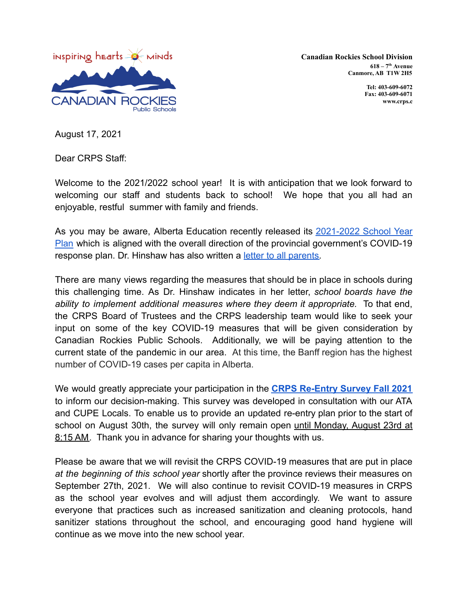

**Canadian Rockies School Division 618 – 7 th Avenue Canmore, AB T1W 2H5**

> **Tel: 403-609-6072 Fax: 403-609-6071 www.crps.c**

August 17, 2021

Dear CRPS Staff:

Welcome to the 2021/2022 school year! It is with anticipation that we look forward to welcoming our staff and students back to school! We hope that you all had an enjoyable, restful summer with family and friends.

As you may be aware, Alberta Education recently released its [2021-2022](https://open.alberta.ca/dataset/13d2242a-d310-419e-960c-6fe273d0f7b3/resource/e5305366-17e9-4507-9487-8aa5afcd72f2/download/edc-school-year-plan-2021-2022.pdf) School Year [Plan](https://open.alberta.ca/dataset/13d2242a-d310-419e-960c-6fe273d0f7b3/resource/e5305366-17e9-4507-9487-8aa5afcd72f2/download/edc-school-year-plan-2021-2022.pdf) which is aligned with the overall direction of the provincial government's COVID-19 response plan. Dr. Hinshaw has also written a letter [to all parents.](https://www.alberta.ca/assets/documents/edu-return-to-school-letter-to-alberta-parents-guardians.pdf)

There are many views regarding the measures that should be in place in schools during this challenging time. As Dr. Hinshaw indicates in her letter, *school boards have the ability to implement additional measures where they deem it appropriate.* To that end, the CRPS Board of Trustees and the CRPS leadership team would like to seek your input on some of the key COVID-19 measures that will be given consideration by Canadian Rockies Public Schools. Additionally, we will be paying attention to the current state of the pandemic in our area. At this time, the Banff region has the highest number of COVID-19 cases per capita in Alberta.

We would greatly appreciate your participation in the **CRPS [Re-Entry](https://docs.google.com/forms/d/e/1FAIpQLSf4263CwKOL2D9gpi2-Lu72vXBFzQ2StMdrNY7u_v8c3d8N0Q/viewform?usp=sf_link) Survey Fall 2021** to inform our decision-making. This survey was developed in consultation with our ATA and CUPE Locals. To enable us to provide an updated re-entry plan prior to the start of school on August 30th, the survey will only remain open until Monday, August 23rd at 8:15 AM. Thank you in advance for sharing your thoughts with us.

Please be aware that we will revisit the CRPS COVID-19 measures that are put in place *at the beginning of this school year* shortly after the province reviews their measures on September 27th, 2021. We will also continue to revisit COVID-19 measures in CRPS as the school year evolves and will adjust them accordingly. We want to assure everyone that practices such as increased sanitization and cleaning protocols, hand sanitizer stations throughout the school, and encouraging good hand hygiene will continue as we move into the new school year.